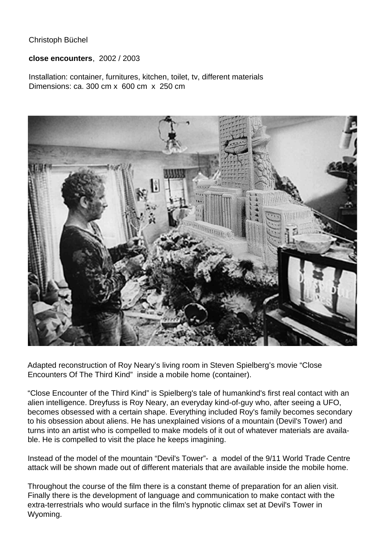Christoph Büchel

**close encounters**, 2002 / 2003

Installation: container, furnitures, kitchen, toilet, tv, different materials Dimensions: ca. 300 cm x 600 cm x 250 cm



Adapted reconstruction of Roy Neary's living room in Steven Spielberg's movie "Close Encounters Of The Third Kind" inside a mobile home (container).

"Close Encounter of the Third Kind" is Spielberg's tale of humankind's first real contact with an alien intelligence. Dreyfuss is Roy Neary, an everyday kind-of-guy who, after seeing a UFO, becomes obsessed with a certain shape. Everything included Roy's family becomes secondary to his obsession about aliens. He has unexplained visions of a mountain (Devil's Tower) and turns into an artist who is compelled to make models of it out of whatever materials are available. He is compelled to visit the place he keeps imagining.

Instead of the model of the mountain "Devil's Tower"- a model of the 9/11 World Trade Centre attack will be shown made out of different materials that are available inside the mobile home.

Throughout the course of the film there is a constant theme of preparation for an alien visit. Finally there is the development of language and communication to make contact with the extra-terrestrials who would surface in the film's hypnotic climax set at Devil's Tower in Wyoming.